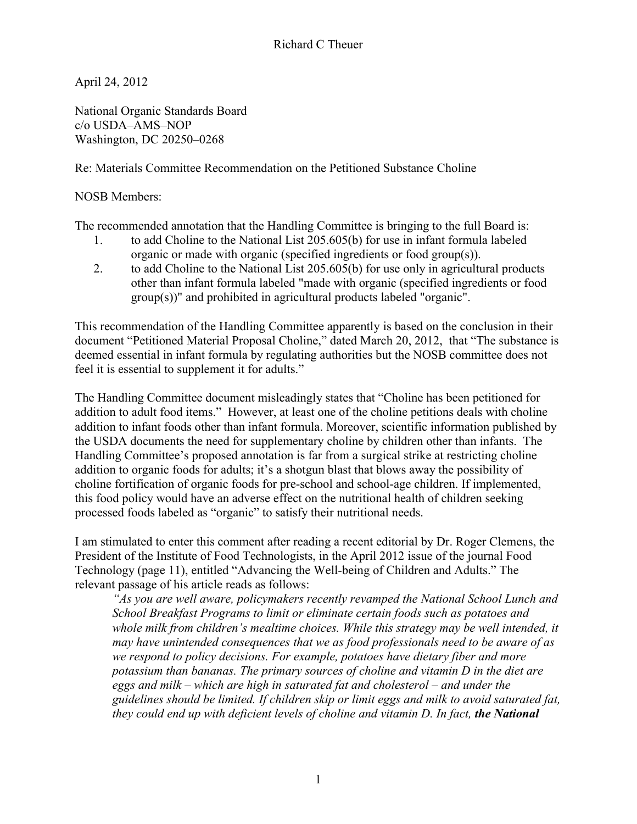April 24, 2012

National Organic Standards Board c/o USDA–AMS–NOP Washington, DC 20250–0268

Re: Materials Committee Recommendation on the Petitioned Substance Choline

NOSB Members:

The recommended annotation that the Handling Committee is bringing to the full Board is:

- 1. to add Choline to the National List 205.605(b) for use in infant formula labeled organic or made with organic (specified ingredients or food group(s)).
- 2. to add Choline to the National List 205.605(b) for use only in agricultural products other than infant formula labeled "made with organic (specified ingredients or food group(s))" and prohibited in agricultural products labeled "organic".

This recommendation of the Handling Committee apparently is based on the conclusion in their document "Petitioned Material Proposal Choline," dated March 20, 2012, that "The substance is deemed essential in infant formula by regulating authorities but the NOSB committee does not feel it is essential to supplement it for adults."

The Handling Committee document misleadingly states that "Choline has been petitioned for addition to adult food items." However, at least one of the choline petitions deals with choline addition to infant foods other than infant formula. Moreover, scientific information published by the USDA documents the need for supplementary choline by children other than infants. The Handling Committee's proposed annotation is far from a surgical strike at restricting choline addition to organic foods for adults; it's a shotgun blast that blows away the possibility of choline fortification of organic foods for pre-school and school-age children. If implemented, this food policy would have an adverse effect on the nutritional health of children seeking processed foods labeled as "organic" to satisfy their nutritional needs.

I am stimulated to enter this comment after reading a recent editorial by Dr. Roger Clemens, the President of the Institute of Food Technologists, in the April 2012 issue of the journal Food Technology (page 11), entitled "Advancing the Well-being of Children and Adults." The relevant passage of his article reads as follows:

*"As you are well aware, policymakers recently revamped the National School Lunch and School Breakfast Programs to limit or eliminate certain foods such as potatoes and whole milk from children's mealtime choices. While this strategy may be well intended, it may have unintended consequences that we as food professionals need to be aware of as we respond to policy decisions. For example, potatoes have dietary fiber and more potassium than bananas. The primary sources of choline and vitamin D in the diet are eggs and milk – which are high in saturated fat and cholesterol – and under the guidelines should be limited. If children skip or limit eggs and milk to avoid saturated fat, they could end up with deficient levels of choline and vitamin D. In fact, the National*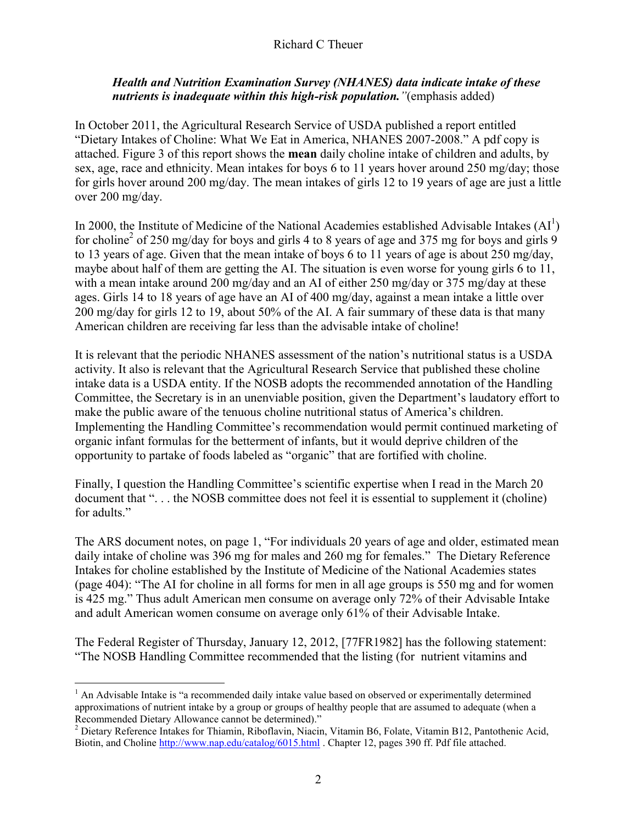## *Health and Nutrition Examination Survey (NHANES) data indicate intake of these nutrients is inadequate within this high-risk population."*(emphasis added)

In October 2011, the Agricultural Research Service of USDA published a report entitled "Dietary Intakes of Choline: What We Eat in America, NHANES 2007-2008." A pdf copy is attached. Figure 3 of this report shows the **mean** daily choline intake of children and adults, by sex, age, race and ethnicity. Mean intakes for boys 6 to 11 years hover around 250 mg/day; those for girls hover around 200 mg/day. The mean intakes of girls 12 to 19 years of age are just a little over 200 mg/day.

In 2000, the Institute of Medicine of the National Academies established Advisable Intakes  $(AI^1)$ for choline<sup>2</sup> of 250 mg/day for boys and girls 4 to 8 years of age and 375 mg for boys and girls 9 to 13 years of age. Given that the mean intake of boys 6 to 11 years of age is about 250 mg/day, maybe about half of them are getting the AI. The situation is even worse for young girls 6 to 11, with a mean intake around 200 mg/day and an AI of either 250 mg/day or 375 mg/day at these ages. Girls 14 to 18 years of age have an AI of 400 mg/day, against a mean intake a little over 200 mg/day for girls 12 to 19, about 50% of the AI. A fair summary of these data is that many American children are receiving far less than the advisable intake of choline!

It is relevant that the periodic NHANES assessment of the nation's nutritional status is a USDA activity. It also is relevant that the Agricultural Research Service that published these choline intake data is a USDA entity. If the NOSB adopts the recommended annotation of the Handling Committee, the Secretary is in an unenviable position, given the Department's laudatory effort to make the public aware of the tenuous choline nutritional status of America's children. Implementing the Handling Committee's recommendation would permit continued marketing of organic infant formulas for the betterment of infants, but it would deprive children of the opportunity to partake of foods labeled as "organic" that are fortified with choline.

Finally, I question the Handling Committee's scientific expertise when I read in the March 20 document that "... the NOSB committee does not feel it is essential to supplement it (choline) for adults."

The ARS document notes, on page 1, "For individuals 20 years of age and older, estimated mean daily intake of choline was 396 mg for males and 260 mg for females." The Dietary Reference Intakes for choline established by the Institute of Medicine of the National Academies states (page 404): "The AI for choline in all forms for men in all age groups is 550 mg and for women is 425 mg." Thus adult American men consume on average only 72% of their Advisable Intake and adult American women consume on average only 61% of their Advisable Intake.

The Federal Register of Thursday, January 12, 2012, [77FR1982] has the following statement: "The NOSB Handling Committee recommended that the listing (for nutrient vitamins and

 $\overline{a}$  $<sup>1</sup>$  An Advisable Intake is "a recommended daily intake value based on observed or experimentally determined</sup> approximations of nutrient intake by a group or groups of healthy people that are assumed to adequate (when a Recommended Dietary Allowance cannot be determined)."

<sup>&</sup>lt;sup>2</sup> Dietary Reference Intakes for Thiamin, Riboflavin, Niacin, Vitamin B6, Folate, Vitamin B12, Pantothenic Acid, Biotin, and Choline http://www.nap.edu/catalog/6015.html . Chapter 12, pages 390 ff. Pdf file attached.